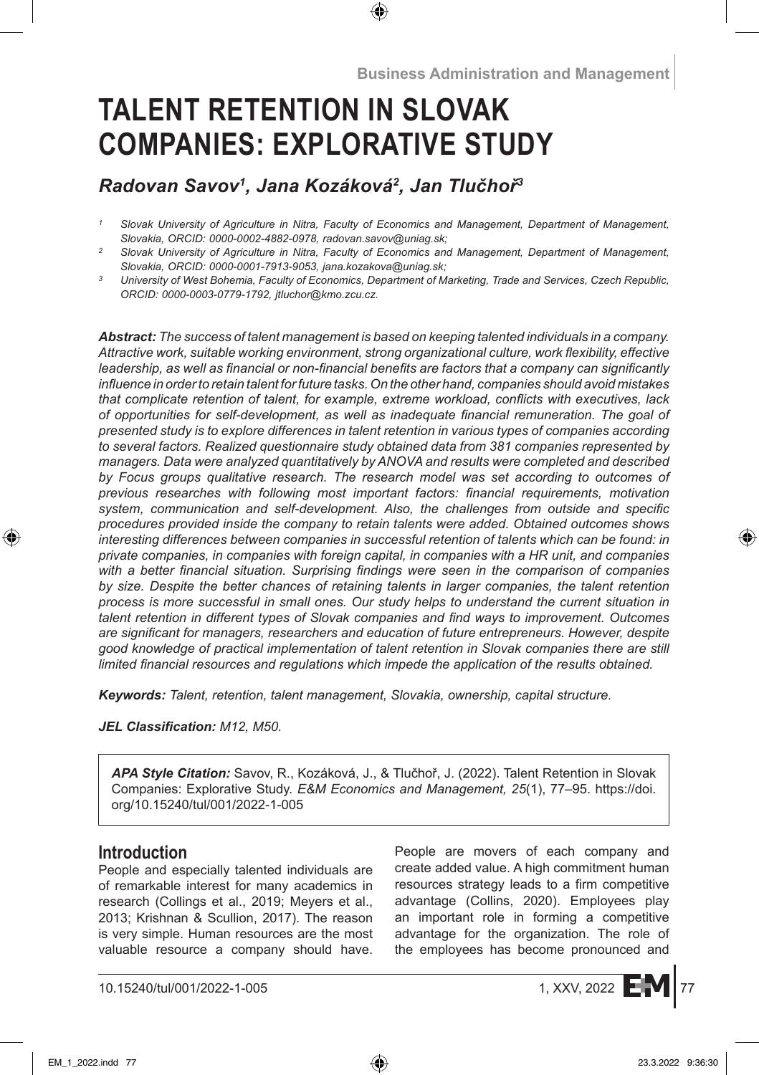# **TALENT RETENTION IN SLOVAK COMPANIES: EXPLORATIVE STUDY**

# *Radovan Savov<sup>1</sup> , Jana Kozáková<sup>2</sup> , Jan Tlučhoř<sup>3</sup>*

- *<sup>1</sup> Slovak University of Agriculture in Nitra, Faculty of Economics and Management, Department of Management, Slovakia, ORCID: 0000-0002-4882-0978, radovan.savov@uniag.sk;*
- *<sup>2</sup> Slovak University of Agriculture in Nitra, Faculty of Economics and Management, Department of Management, Slovakia, ORCID: 0000-0001-7913-9053, jana.kozakova@uniag.sk;*
- *<sup>3</sup> University of West Bohemia, Faculty of Economics, Department of Marketing, Trade and Services, Czech Republic, ORCID: 0000-0003-0779-1792, jtluchor@kmo.zcu.cz.*

*Abstract: The success of talent management is based on keeping talented individuals in a company. Attractive work, suitable working environment, strong organizational culture, work flexibility, effective leadership, as well as financial or non-financial benefits are factors that a company can significantly influence in order to retain talent for future tasks. On the other hand, companies should avoid mistakes that complicate retention of talent, for example, extreme workload, conflicts with executives, lack of opportunities for self-development, as well as inadequate financial remuneration. The goal of presented study is to explore differences in talent retention in various types of companies according to several factors. Realized questionnaire study obtained data from 381 companies represented by managers. Data were analyzed quantitatively by ANOVA and results were completed and described by Focus groups qualitative research. The research model was set according to outcomes of previous researches with following most important factors: financial requirements, motivation system, communication and self-development. Also, the challenges from outside and specific procedures provided inside the company to retain talents were added. Obtained outcomes shows interesting differences between companies in successful retention of talents which can be found: in private companies, in companies with foreign capital, in companies with a HR unit, and companies with a better financial situation. Surprising findings were seen in the comparison of companies by size. Despite the better chances of retaining talents in larger companies, the talent retention process is more successful in small ones. Our study helps to understand the current situation in talent retention in different types of Slovak companies and find ways to improvement. Outcomes are significant for managers, researchers and education of future entrepreneurs. However, despite good knowledge of practical implementation of talent retention in Slovak companies there are still limited financial resources and regulations which impede the application of the results obtained.*

*Keywords: Talent, retention, talent management, Slovakia, ownership, capital structure.*

*JEL Classification: M12, M50.*

*APA Style Citation:* Savov, R., Kozáková, J., & Tlučhoř, J. (2022). Talent Retention in Slovak Companies: Explorative Study. *E&M Economics and Management, 25*(1), 77–95. https://doi. org/10.15240/tul/001/2022-1-005

# **Introduction**

People and especially talented individuals are of remarkable interest for many academics in research (Collings et al., 2019; Meyers et al., 2013; Krishnan & Scullion, 2017). The reason is very simple. Human resources are the most valuable resource a company should have. People are movers of each company and create added value. A high commitment human resources strategy leads to a firm competitive advantage (Collins, 2020). Employees play an important role in forming a competitive advantage for the organization. The role of the employees has become pronounced and

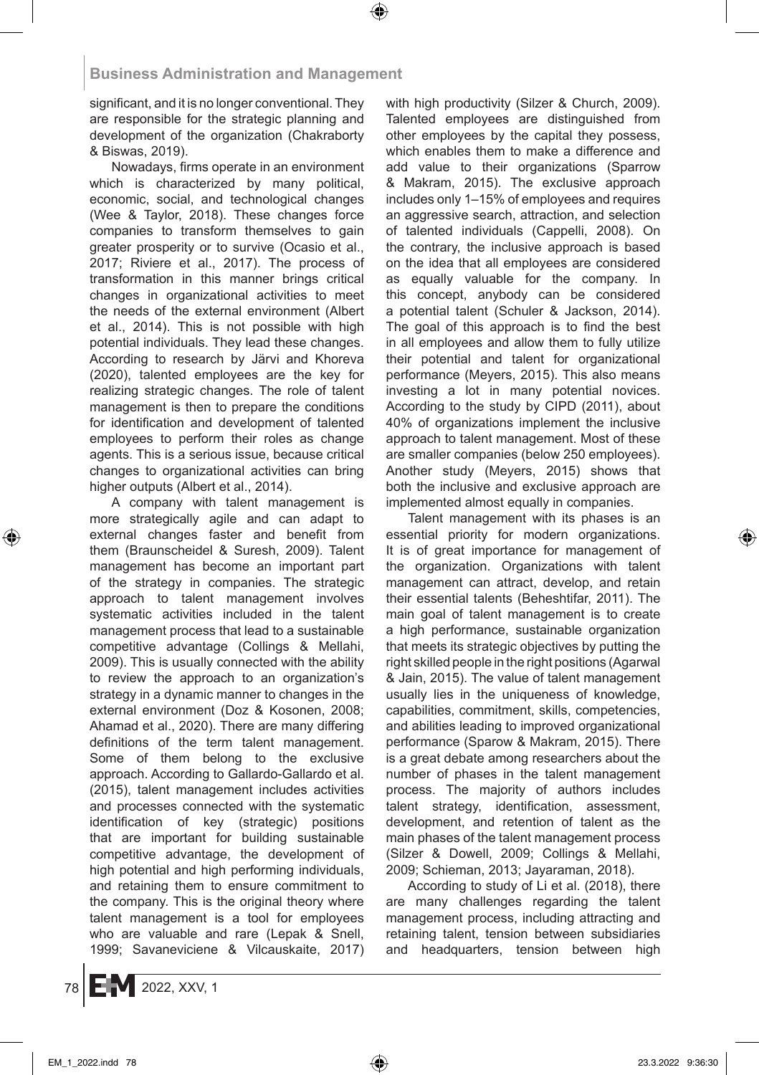significant, and it is no longer conventional. They are responsible for the strategic planning and development of the organization (Chakraborty & Biswas, 2019).

Nowadays, firms operate in an environment which is characterized by many political, economic, social, and technological changes (Wee & Taylor, 2018). These changes force companies to transform themselves to gain greater prosperity or to survive (Ocasio et al., 2017; Riviere et al., 2017). The process of transformation in this manner brings critical changes in organizational activities to meet the needs of the external environment (Albert et al., 2014). This is not possible with high potential individuals. They lead these changes. According to research by Järvi and Khoreva (2020), talented employees are the key for realizing strategic changes. The role of talent management is then to prepare the conditions for identification and development of talented employees to perform their roles as change agents. This is a serious issue, because critical changes to organizational activities can bring higher outputs (Albert et al., 2014).

A company with talent management is more strategically agile and can adapt to external changes faster and benefit from them (Braunscheidel & Suresh, 2009). Talent management has become an important part of the strategy in companies. The strategic approach to talent management involves systematic activities included in the talent management process that lead to a sustainable competitive advantage (Collings & Mellahi, 2009). This is usually connected with the ability to review the approach to an organization's strategy in a dynamic manner to changes in the external environment (Doz & Kosonen, 2008; Ahamad et al., 2020). There are many differing definitions of the term talent management. Some of them belong to the exclusive approach. According to Gallardo-Gallardo et al. (2015), talent management includes activities and processes connected with the systematic identification of key (strategic) positions that are important for building sustainable competitive advantage, the development of high potential and high performing individuals, and retaining them to ensure commitment to the company. This is the original theory where talent management is a tool for employees who are valuable and rare (Lepak & Snell, 1999; Savaneviciene & Vilcauskaite, 2017) with high productivity (Silzer & Church, 2009). Talented employees are distinguished from other employees by the capital they possess, which enables them to make a difference and add value to their organizations (Sparrow & Makram, 2015). The exclusive approach includes only 1–15% of employees and requires an aggressive search, attraction, and selection of talented individuals (Cappelli, 2008). On the contrary, the inclusive approach is based on the idea that all employees are considered as equally valuable for the company. In this concept, anybody can be considered a potential talent (Schuler & Jackson, 2014). The goal of this approach is to find the best in all employees and allow them to fully utilize their potential and talent for organizational performance (Meyers, 2015). This also means investing a lot in many potential novices. According to the study by CIPD (2011), about 40% of organizations implement the inclusive approach to talent management. Most of these are smaller companies (below 250 employees). Another study (Meyers, 2015) shows that both the inclusive and exclusive approach are implemented almost equally in companies.

Talent management with its phases is an essential priority for modern organizations. It is of great importance for management of the organization. Organizations with talent management can attract, develop, and retain their essential talents (Beheshtifar, 2011). The main goal of talent management is to create a high performance, sustainable organization that meets its strategic objectives by putting the right skilled people in the right positions (Agarwal & Jain, 2015). The value of talent management usually lies in the uniqueness of knowledge, capabilities, commitment, skills, competencies, and abilities leading to improved organizational performance (Sparow & Makram, 2015). There is a great debate among researchers about the number of phases in the talent management process. The majority of authors includes talent strategy, identification, assessment, development, and retention of talent as the main phases of the talent management process (Silzer & Dowell, 2009; Collings & Mellahi, 2009; Schieman, 2013; Jayaraman, 2018).

According to study of Li et al. (2018), there are many challenges regarding the talent management process, including attracting and retaining talent, tension between subsidiaries and headquarters, tension between high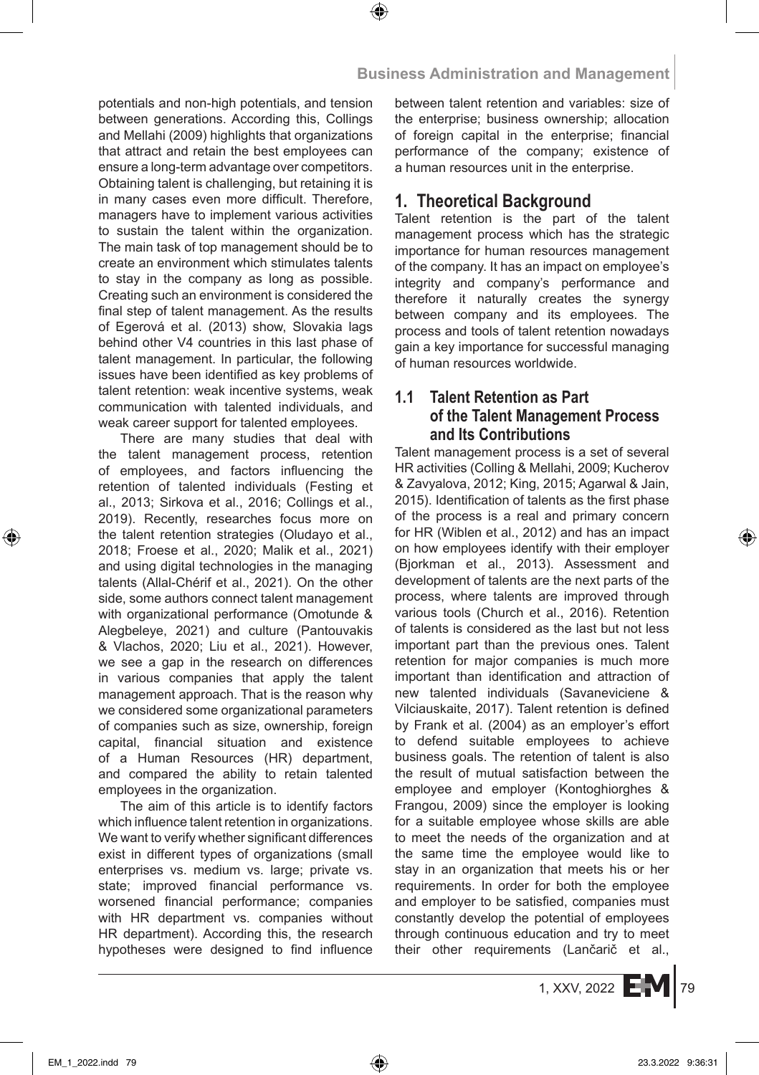potentials and non-high potentials, and tension between generations. According this, Collings and Mellahi (2009) highlights that organizations that attract and retain the best employees can ensure a long-term advantage over competitors. Obtaining talent is challenging, but retaining it is in many cases even more difficult. Therefore, managers have to implement various activities to sustain the talent within the organization. The main task of top management should be to create an environment which stimulates talents to stay in the company as long as possible. Creating such an environment is considered the final step of talent management. As the results of Egerová et al. (2013) show, Slovakia lags behind other V4 countries in this last phase of talent management. In particular, the following issues have been identified as key problems of talent retention: weak incentive systems, weak communication with talented individuals, and weak career support for talented employees.

There are many studies that deal with the talent management process, retention of employees, and factors influencing the retention of talented individuals (Festing et al., 2013; Sirkova et al., 2016; Collings et al., 2019). Recently, researches focus more on the talent retention strategies (Oludayo et al., 2018; Froese et al., 2020; Malik et al., 2021) and using digital technologies in the managing talents (Allal-Chérif et al., 2021). On the other side, some authors connect talent management with organizational performance (Omotunde & Alegbeleye, 2021) and culture (Pantouvakis & Vlachos, 2020; Liu et al., 2021). However, we see a gap in the research on differences in various companies that apply the talent management approach. That is the reason why we considered some organizational parameters of companies such as size, ownership, foreign capital, financial situation and existence of a Human Resources (HR) department, and compared the ability to retain talented employees in the organization.

The aim of this article is to identify factors which influence talent retention in organizations. We want to verify whether significant differences exist in different types of organizations (small enterprises vs. medium vs. large; private vs. state; improved financial performance vs. worsened financial performance; companies with HR department vs. companies without HR department). According this, the research hypotheses were designed to find influence between talent retention and variables: size of the enterprise; business ownership; allocation of foreign capital in the enterprise; financial performance of the company; existence of a human resources unit in the enterprise.

# **1. Theoretical Background**

Talent retention is the part of the talent management process which has the strategic importance for human resources management of the company. It has an impact on employee's integrity and company's performance and therefore it naturally creates the synergy between company and its employees. The process and tools of talent retention nowadays gain a key importance for successful managing of human resources worldwide.

# **1.1 Talent Retention as Part of the Talent Management Process and Its Contributions**

Talent management process is a set of several HR activities (Colling & Mellahi, 2009; Kucherov & Zavyalova, 2012; King, 2015; Agarwal & Jain, 2015). Identification of talents as the first phase of the process is a real and primary concern for HR (Wiblen et al., 2012) and has an impact on how employees identify with their employer (Bjorkman et al., 2013). Assessment and development of talents are the next parts of the process, where talents are improved through various tools (Church et al., 2016). Retention of talents is considered as the last but not less important part than the previous ones. Talent retention for major companies is much more important than identification and attraction of new talented individuals (Savaneviciene & Vilciauskaite, 2017). Talent retention is defined by Frank et al. (2004) as an employer's effort to defend suitable employees to achieve business goals. The retention of talent is also the result of mutual satisfaction between the employee and employer (Kontoghiorghes & Frangou, 2009) since the employer is looking for a suitable employee whose skills are able to meet the needs of the organization and at the same time the employee would like to stay in an organization that meets his or her requirements. In order for both the employee and employer to be satisfied, companies must constantly develop the potential of employees through continuous education and try to meet their other requirements (Lančarič et al.,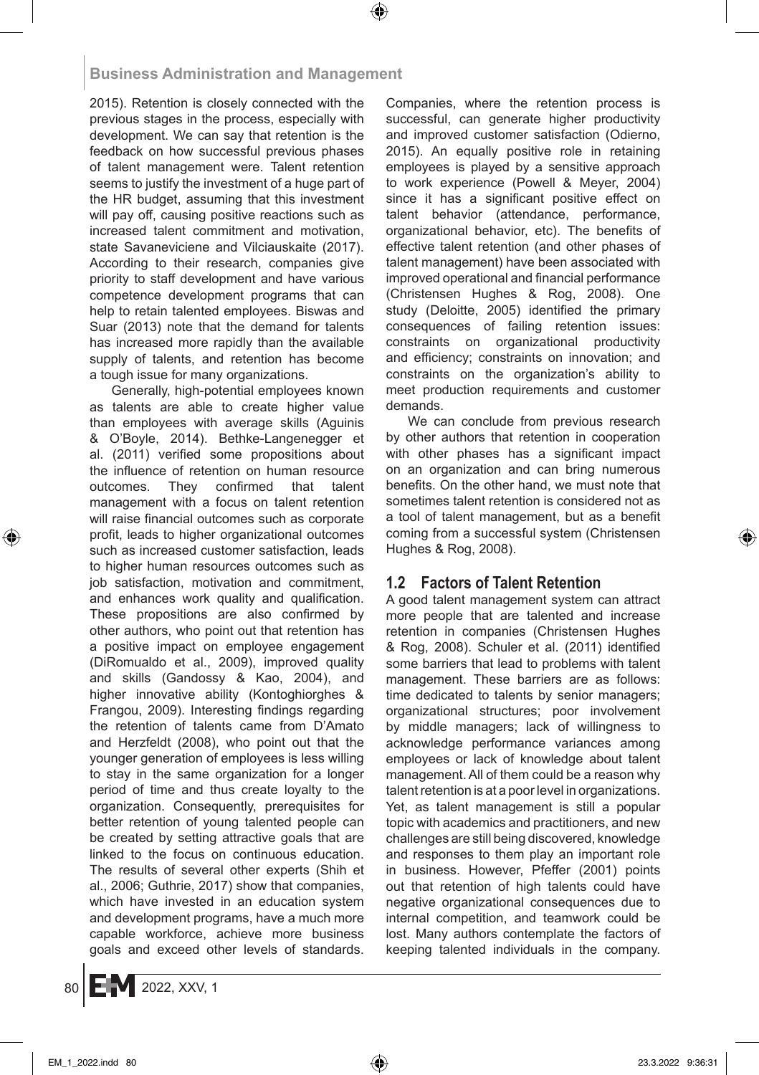2015). Retention is closely connected with the previous stages in the process, especially with development. We can say that retention is the feedback on how successful previous phases of talent management were. Talent retention seems to justify the investment of a huge part of the HR budget, assuming that this investment will pay off, causing positive reactions such as increased talent commitment and motivation, state Savaneviciene and Vilciauskaite (2017). According to their research, companies give priority to staff development and have various competence development programs that can help to retain talented employees. Biswas and Suar (2013) note that the demand for talents has increased more rapidly than the available supply of talents, and retention has become a tough issue for many organizations.

Generally, high-potential employees known as talents are able to create higher value than employees with average skills (Aguinis & O'Boyle, 2014). Bethke-Langenegger et al. (2011) verified some propositions about the influence of retention on human resource outcomes. They confirmed that talent management with a focus on talent retention will raise financial outcomes such as corporate profit, leads to higher organizational outcomes such as increased customer satisfaction, leads to higher human resources outcomes such as job satisfaction, motivation and commitment, and enhances work quality and qualification. These propositions are also confirmed by other authors, who point out that retention has a positive impact on employee engagement (DiRomualdo et al., 2009), improved quality and skills (Gandossy & Kao, 2004), and higher innovative ability (Kontoghiorghes & Frangou, 2009). Interesting findings regarding the retention of talents came from D'Amato and Herzfeldt (2008), who point out that the younger generation of employees is less willing to stay in the same organization for a longer period of time and thus create loyalty to the organization. Consequently, prerequisites for better retention of young talented people can be created by setting attractive goals that are linked to the focus on continuous education. The results of several other experts (Shih et al., 2006; Guthrie, 2017) show that companies, which have invested in an education system and development programs, have a much more capable workforce, achieve more business goals and exceed other levels of standards. Companies, where the retention process is successful, can generate higher productivity and improved customer satisfaction (Odierno, 2015). An equally positive role in retaining employees is played by a sensitive approach to work experience (Powell & Meyer, 2004) since it has a significant positive effect on talent behavior (attendance, performance, organizational behavior, etc). The benefits of effective talent retention (and other phases of talent management) have been associated with improved operational and financial performance (Christensen Hughes & Rog, 2008). One study (Deloitte, 2005) identified the primary consequences of failing retention issues: constraints on organizational productivity and efficiency; constraints on innovation; and constraints on the organization's ability to meet production requirements and customer demands.

We can conclude from previous research by other authors that retention in cooperation with other phases has a significant impact on an organization and can bring numerous benefits. On the other hand, we must note that sometimes talent retention is considered not as a tool of talent management, but as a benefit coming from a successful system (Christensen Hughes & Rog, 2008).

# **1.2 Factors of Talent Retention**

A good talent management system can attract more people that are talented and increase retention in companies (Christensen Hughes & Rog, 2008). Schuler et al. (2011) identified some barriers that lead to problems with talent management. These barriers are as follows: time dedicated to talents by senior managers; organizational structures; poor involvement by middle managers; lack of willingness to acknowledge performance variances among employees or lack of knowledge about talent management. All of them could be a reason why talent retention is at a poor level in organizations. Yet, as talent management is still a popular topic with academics and practitioners, and new challenges are still being discovered, knowledge and responses to them play an important role in business. However, Pfeffer (2001) points out that retention of high talents could have negative organizational consequences due to internal competition, and teamwork could be lost. Many authors contemplate the factors of keeping talented individuals in the company.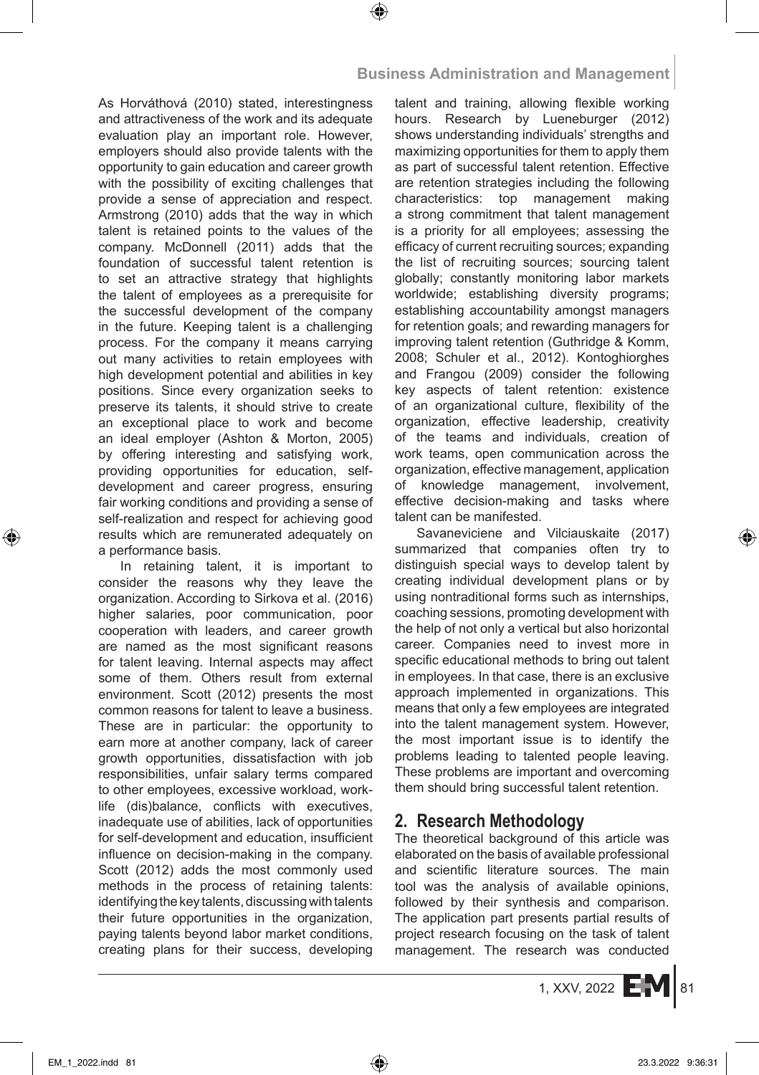As Horváthová (2010) stated, interestingness and attractiveness of the work and its adequate evaluation play an important role. However, employers should also provide talents with the opportunity to gain education and career growth with the possibility of exciting challenges that provide a sense of appreciation and respect. Armstrong (2010) adds that the way in which talent is retained points to the values of the company. McDonnell (2011) adds that the foundation of successful talent retention is to set an attractive strategy that highlights the talent of employees as a prerequisite for the successful development of the company in the future. Keeping talent is a challenging process. For the company it means carrying out many activities to retain employees with high development potential and abilities in key positions. Since every organization seeks to preserve its talents, it should strive to create an exceptional place to work and become an ideal employer (Ashton & Morton, 2005) by offering interesting and satisfying work, providing opportunities for education, selfdevelopment and career progress, ensuring fair working conditions and providing a sense of self-realization and respect for achieving good results which are remunerated adequately on a performance basis.

In retaining talent, it is important to consider the reasons why they leave the organization. According to Sirkova et al. (2016) higher salaries, poor communication, poor cooperation with leaders, and career growth are named as the most significant reasons for talent leaving. Internal aspects may affect some of them. Others result from external environment. Scott (2012) presents the most common reasons for talent to leave a business. These are in particular: the opportunity to earn more at another company, lack of career growth opportunities, dissatisfaction with job responsibilities, unfair salary terms compared to other employees, excessive workload, worklife (dis)balance, conflicts with executives, inadequate use of abilities, lack of opportunities for self-development and education, insufficient influence on decision-making in the company. Scott (2012) adds the most commonly used methods in the process of retaining talents: identifying the key talents, discussing with talents their future opportunities in the organization, paying talents beyond labor market conditions, creating plans for their success, developing talent and training, allowing flexible working hours. Research by Lueneburger (2012) shows understanding individuals' strengths and maximizing opportunities for them to apply them as part of successful talent retention. Effective are retention strategies including the following characteristics: top management making a strong commitment that talent management is a priority for all employees; assessing the efficacy of current recruiting sources; expanding the list of recruiting sources; sourcing talent globally; constantly monitoring labor markets worldwide; establishing diversity programs; establishing accountability amongst managers for retention goals; and rewarding managers for improving talent retention (Guthridge & Komm, 2008; Schuler et al., 2012). Kontoghiorghes and Frangou (2009) consider the following key aspects of talent retention: existence of an organizational culture, flexibility of the organization, effective leadership, creativity of the teams and individuals, creation of work teams, open communication across the organization, effective management, application of knowledge management, involvement, effective decision-making and tasks where talent can be manifested.

Savaneviciene and Vilciauskaite (2017) summarized that companies often try to distinguish special ways to develop talent by creating individual development plans or by using nontraditional forms such as internships, coaching sessions, promoting development with the help of not only a vertical but also horizontal career. Companies need to invest more in specific educational methods to bring out talent in employees. In that case, there is an exclusive approach implemented in organizations. This means that only a few employees are integrated into the talent management system. However, the most important issue is to identify the problems leading to talented people leaving. These problems are important and overcoming them should bring successful talent retention.

# **2. Research Methodology**

The theoretical background of this article was elaborated on the basis of available professional and scientific literature sources. The main tool was the analysis of available opinions, followed by their synthesis and comparison. The application part presents partial results of project research focusing on the task of talent management. The research was conducted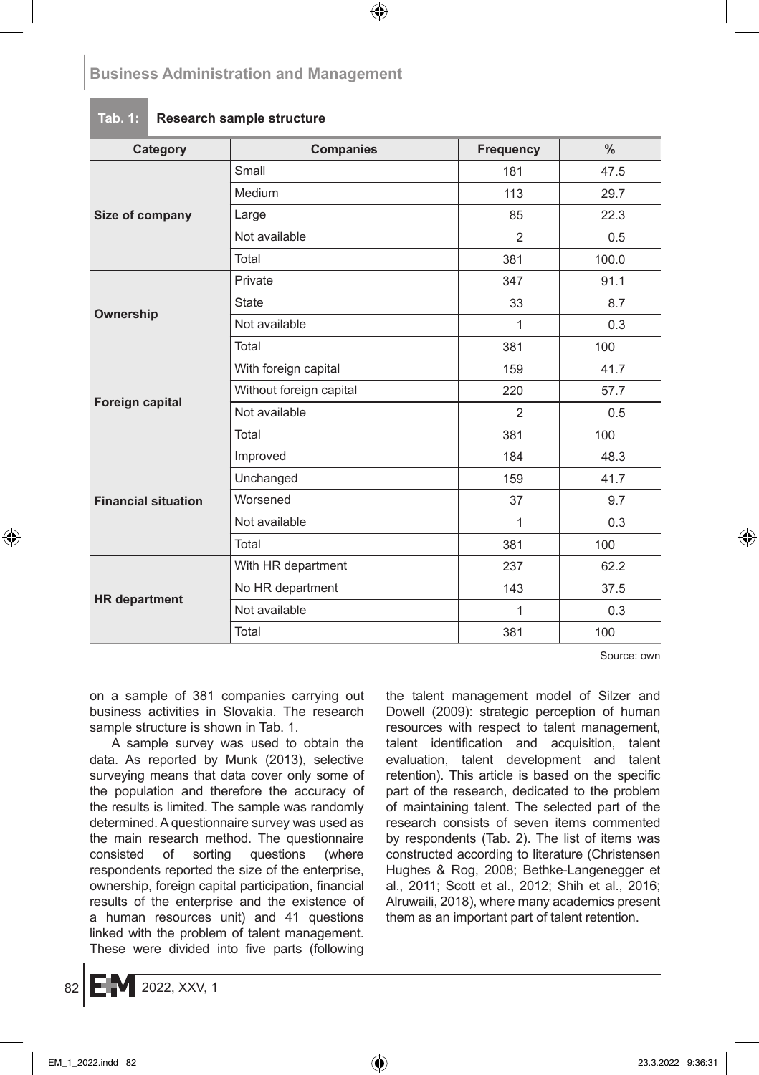### **Tab. 1: Research sample structure**

| Category                   | <b>Companies</b>        | Frequency      | $\frac{0}{0}$ |
|----------------------------|-------------------------|----------------|---------------|
|                            | Small                   | 181            | 47.5          |
|                            | Medium                  | 113            | 29.7          |
| Size of company            | Large                   | 85             | 22.3          |
|                            | Not available           | 2              | 0.5           |
|                            | Total                   | 381            | 100.0         |
|                            | Private                 | 347            | 91.1          |
|                            | <b>State</b>            | 33             | 8.7           |
| Ownership                  | Not available           | 1              | 0.3           |
|                            | Total                   | 381            | 100           |
|                            | With foreign capital    | 159            | 41.7          |
| Foreign capital            | Without foreign capital | 220            | 57.7          |
|                            | Not available           | $\overline{2}$ | 0.5           |
|                            | Total                   | 381            | 100           |
|                            | Improved                | 184            | 48.3          |
|                            | Unchanged               | 159            | 41.7          |
| <b>Financial situation</b> | Worsened                | 37             | 9.7           |
|                            | Not available           | 1              | 0.3           |
|                            | Total                   | 381            | 100           |
|                            | With HR department      | 237            | 62.2          |
|                            | No HR department        | 143            | 37.5          |
| <b>HR</b> department       | Not available           | 1              | 0.3           |
|                            | Total                   | 381            | 100           |

Source: own

on a sample of 381 companies carrying out business activities in Slovakia. The research sample structure is shown in Tab. 1.

A sample survey was used to obtain the data. As reported by Munk (2013), selective surveying means that data cover only some of the population and therefore the accuracy of the results is limited. The sample was randomly determined. A questionnaire survey was used as the main research method. The questionnaire consisted of sorting questions (where respondents reported the size of the enterprise, ownership, foreign capital participation, financial results of the enterprise and the existence of a human resources unit) and 41 questions linked with the problem of talent management. These were divided into five parts (following the talent management model of Silzer and Dowell (2009): strategic perception of human resources with respect to talent management, talent identification and acquisition, talent evaluation, talent development and talent retention). This article is based on the specific part of the research, dedicated to the problem of maintaining talent. The selected part of the research consists of seven items commented by respondents (Tab. 2). The list of items was constructed according to literature (Christensen Hughes & Rog, 2008; Bethke-Langenegger et al., 2011; Scott et al., 2012; Shih et al., 2016; Alruwaili, 2018), where many academics present them as an important part of talent retention.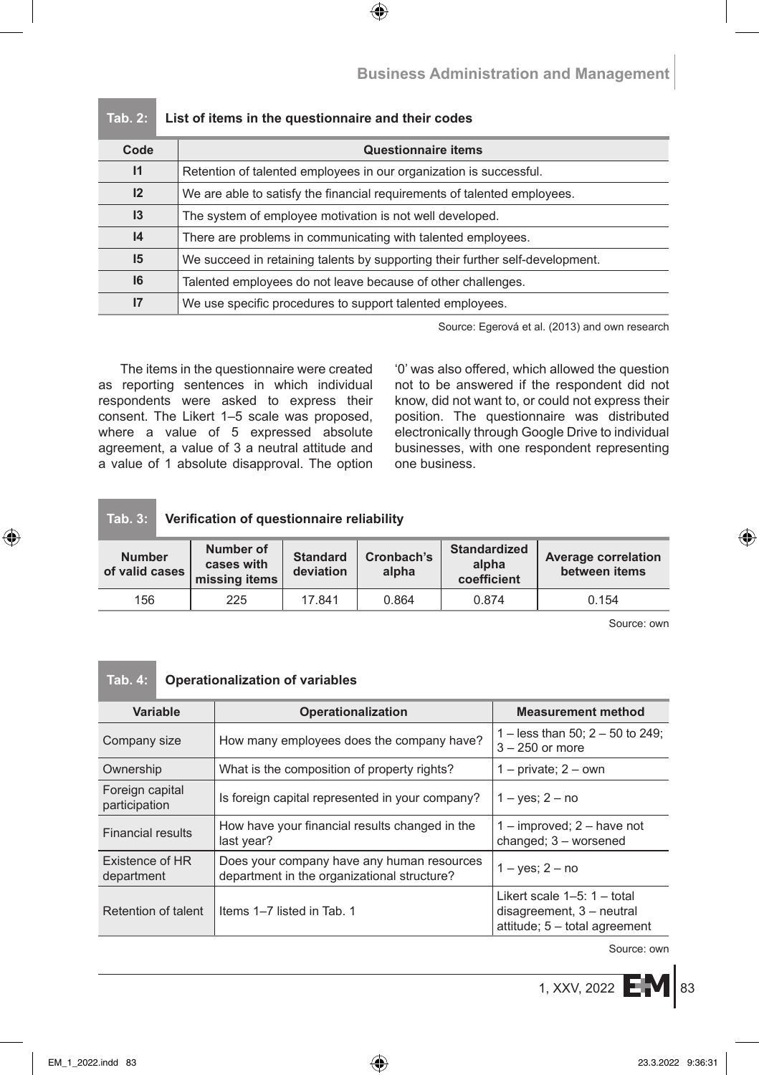| Code            | <b>Questionnaire items</b>                                                    |
|-----------------|-------------------------------------------------------------------------------|
| $\mathsf{I}$    | Retention of talented employees in our organization is successful.            |
| 12              | We are able to satisfy the financial requirements of talented employees.      |
| $\mathsf{I}3$   | The system of employee motivation is not well developed.                      |
| 4               | There are problems in communicating with talented employees.                  |
| 15              | We succeed in retaining talents by supporting their further self-development. |
| 16              | Talented employees do not leave because of other challenges.                  |
| $\overline{17}$ | We use specific procedures to support talented employees.                     |

### **Tab. 2: List of items in the questionnaire and their codes**

Source: Egerová et al. (2013) and own research

The items in the questionnaire were created as reporting sentences in which individual respondents were asked to express their consent. The Likert 1–5 scale was proposed, where a value of 5 expressed absolute agreement, a value of 3 a neutral attitude and a value of 1 absolute disapproval. The option '0' was also offered, which allowed the question not to be answered if the respondent did not know, did not want to, or could not express their position. The questionnaire was distributed electronically through Google Drive to individual businesses, with one respondent representing one business.

### **Tab. 3: Verification of questionnaire reliability**

| <b>Number</b><br>of valid cases | Number of<br>cases with<br>missing items | <b>Standard</b><br>deviation | Cronbach's<br>alpha | <b>Standardized</b><br>alpha<br>coefficient | <b>Average correlation</b><br>between items |
|---------------------------------|------------------------------------------|------------------------------|---------------------|---------------------------------------------|---------------------------------------------|
| 156                             | 225                                      | 17841                        | 0.864               | 0.874                                       | 0.154                                       |

Source: own

### **Tab. 4: Operationalization of variables**

| Variable                         | Operationalization                                                                        | <b>Measurement method</b>                                                                     |
|----------------------------------|-------------------------------------------------------------------------------------------|-----------------------------------------------------------------------------------------------|
| Company size                     | How many employees does the company have?                                                 | 1 – less than 50; $2 - 50$ to 249;<br>$3 - 250$ or more                                       |
| Ownership                        | What is the composition of property rights?                                               | $1$ – private; $2$ – own                                                                      |
| Foreign capital<br>participation | Is foreign capital represented in your company?                                           | $1 - \text{ves}$ ; $2 - \text{no}$                                                            |
| Financial results                | How have your financial results changed in the<br>last year?                              | $1 -$ improved; $2 -$ have not<br>changed; $3$ – worsened                                     |
| Existence of HR<br>department    | Does your company have any human resources<br>department in the organizational structure? | $1 - yes$ ; $2 - no$                                                                          |
| Retention of talent              | Items 1-7 listed in Tab. 1                                                                | Likert scale $1-5$ : $1-$ total<br>disagreement, 3 - neutral<br>attitude; 5 - total agreement |

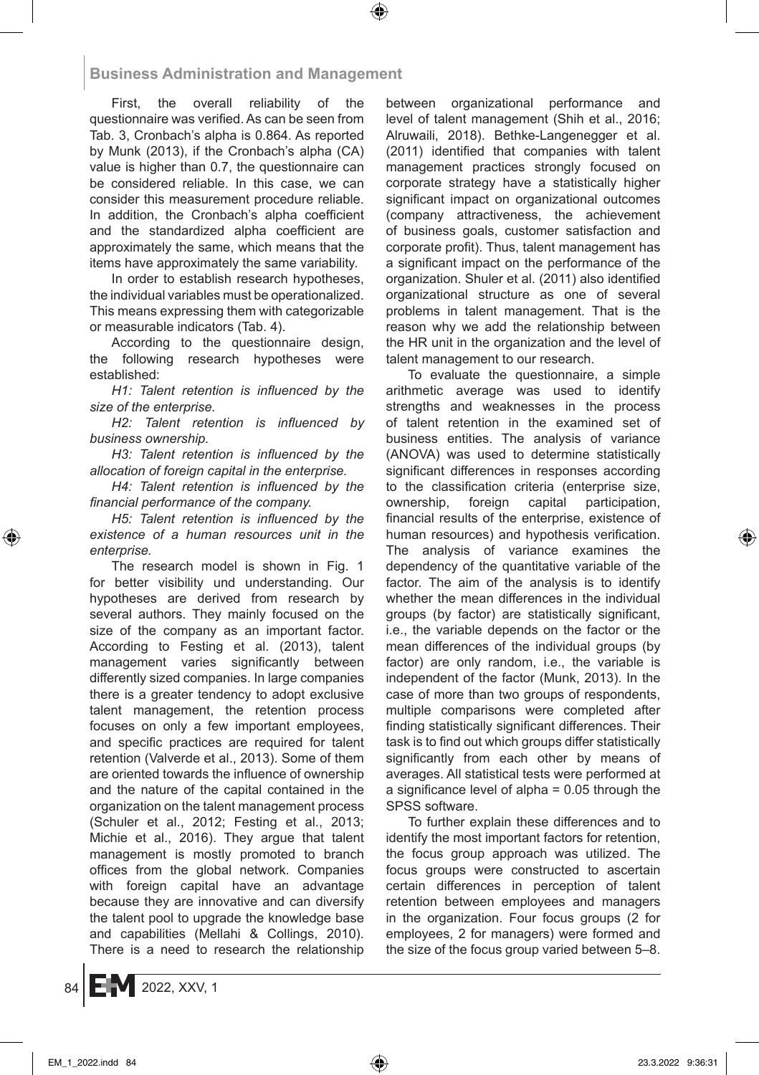First, the overall reliability of the questionnaire was verified. As can be seen from Tab. 3, Cronbach's alpha is 0.864. As reported by Munk (2013), if the Cronbach's alpha (CA) value is higher than 0.7, the questionnaire can be considered reliable. In this case, we can consider this measurement procedure reliable. In addition, the Cronbach's alpha coefficient and the standardized alpha coefficient are approximately the same, which means that the items have approximately the same variability.

In order to establish research hypotheses, the individual variables must be operationalized. This means expressing them with categorizable or measurable indicators (Tab. 4).

According to the questionnaire design, the following research hypotheses were established:

*H1: Talent retention is influenced by the size of the enterprise.*

*H2: Talent retention is influenced by business ownership.*

*H3: Talent retention is influenced by the allocation of foreign capital in the enterprise.*

*H4: Talent retention is influenced by the financial performance of the company.*

*H5: Talent retention is influenced by the existence of a human resources unit in the enterprise.*

The research model is shown in Fig. 1 for better visibility und understanding. Our hypotheses are derived from research by several authors. They mainly focused on the size of the company as an important factor. According to Festing et al. (2013), talent management varies significantly between differently sized companies. In large companies there is a greater tendency to adopt exclusive talent management, the retention process focuses on only a few important employees, and specific practices are required for talent retention (Valverde et al., 2013). Some of them are oriented towards the influence of ownership and the nature of the capital contained in the organization on the talent management process (Schuler et al., 2012; Festing et al., 2013; Michie et al., 2016). They argue that talent management is mostly promoted to branch offices from the global network. Companies with foreign capital have an advantage because they are innovative and can diversify the talent pool to upgrade the knowledge base and capabilities (Mellahi & Collings, 2010). There is a need to research the relationship between organizational performance and level of talent management (Shih et al., 2016; Alruwaili, 2018). Bethke-Langenegger et al. (2011) identified that companies with talent management practices strongly focused on corporate strategy have a statistically higher significant impact on organizational outcomes (company attractiveness, the achievement of business goals, customer satisfaction and corporate profit). Thus, talent management has a significant impact on the performance of the organization. Shuler et al. (2011) also identified organizational structure as one of several problems in talent management. That is the reason why we add the relationship between the HR unit in the organization and the level of talent management to our research.

To evaluate the questionnaire, a simple arithmetic average was used to identify strengths and weaknesses in the process of talent retention in the examined set of business entities. The analysis of variance (ANOVA) was used to determine statistically significant differences in responses according to the classification criteria (enterprise size,<br>ownership, foreign capital participation, ownership, foreign capital participation, financial results of the enterprise, existence of human resources) and hypothesis verification. The analysis of variance examines the dependency of the quantitative variable of the factor. The aim of the analysis is to identify whether the mean differences in the individual groups (by factor) are statistically significant, i.e., the variable depends on the factor or the mean differences of the individual groups (by factor) are only random, i.e., the variable is independent of the factor (Munk, 2013). In the case of more than two groups of respondents, multiple comparisons were completed after finding statistically significant differences. Their task is to find out which groups differ statistically significantly from each other by means of averages. All statistical tests were performed at a significance level of alpha = 0.05 through the SPSS software.

To further explain these differences and to identify the most important factors for retention, the focus group approach was utilized. The focus groups were constructed to ascertain certain differences in perception of talent retention between employees and managers in the organization. Four focus groups (2 for employees, 2 for managers) were formed and the size of the focus group varied between 5–8.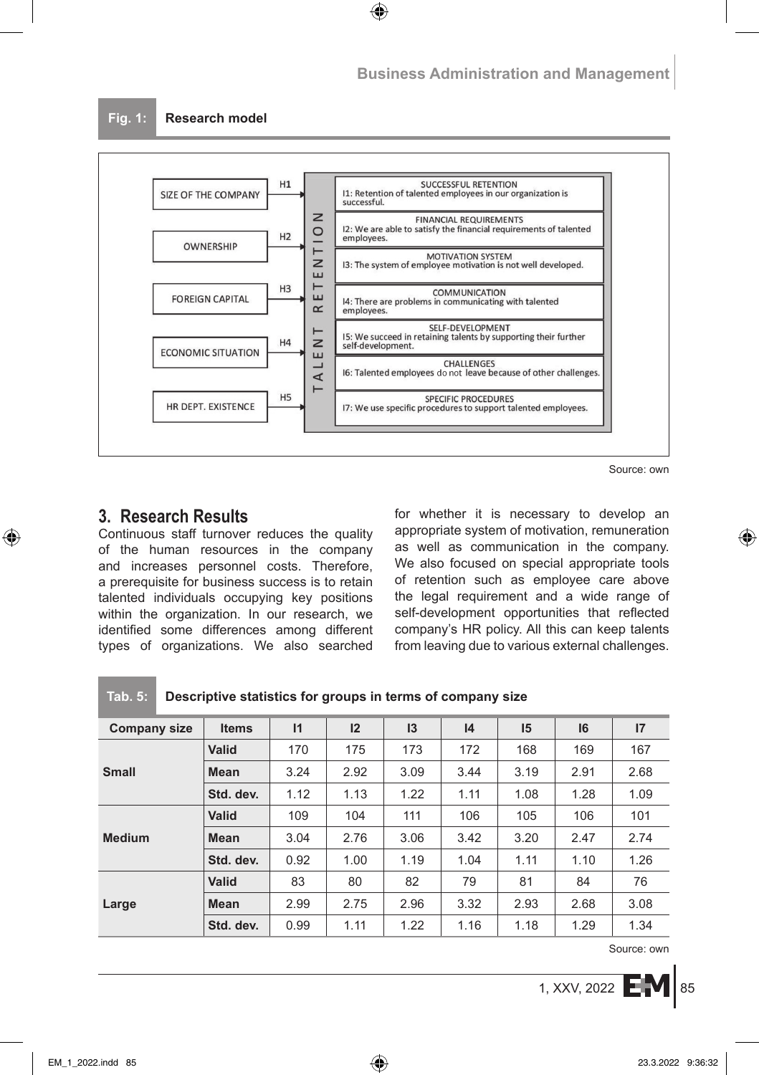

Source: own

# **3. Research Results**

Continuous staff turnover reduces the quality of the human resources in the company and increases personnel costs. Therefore, a prerequisite for business success is to retain talented individuals occupying key positions within the organization. In our research, we identified some differences among different types of organizations. We also searched for whether it is necessary to develop an appropriate system of motivation, remuneration as well as communication in the company. We also focused on special appropriate tools of retention such as employee care above the legal requirement and a wide range of self-development opportunities that reflected company's HR policy. All this can keep talents from leaving due to various external challenges.

| <b>Company size</b> | <b>Items</b> | 11   | 12   | 13   | 4    | 15   | 16   | 17   |
|---------------------|--------------|------|------|------|------|------|------|------|
|                     | <b>Valid</b> | 170  | 175  | 173  | 172  | 168  | 169  | 167  |
| <b>Small</b>        | <b>Mean</b>  | 3.24 | 2.92 | 3.09 | 3.44 | 3.19 | 2.91 | 2.68 |
|                     | Std. dev.    | 1.12 | 1.13 | 1.22 | 1.11 | 1.08 | 1.28 | 1.09 |
|                     | <b>Valid</b> | 109  | 104  | 111  | 106  | 105  | 106  | 101  |
| <b>Medium</b>       | <b>Mean</b>  | 3.04 | 2.76 | 3.06 | 3.42 | 3.20 | 2.47 | 2.74 |
|                     | Std. dev.    | 0.92 | 1.00 | 1.19 | 1.04 | 1.11 | 1.10 | 1.26 |
| Large               | Valid        | 83   | 80   | 82   | 79   | 81   | 84   | 76   |
|                     | <b>Mean</b>  | 2.99 | 2.75 | 2.96 | 3.32 | 2.93 | 2.68 | 3.08 |
|                     | Std. dev.    | 0.99 | 1.11 | 1.22 | 1.16 | 1.18 | 1.29 | 1.34 |

### **Tab. 5: Descriptive statistics for groups in terms of company size**

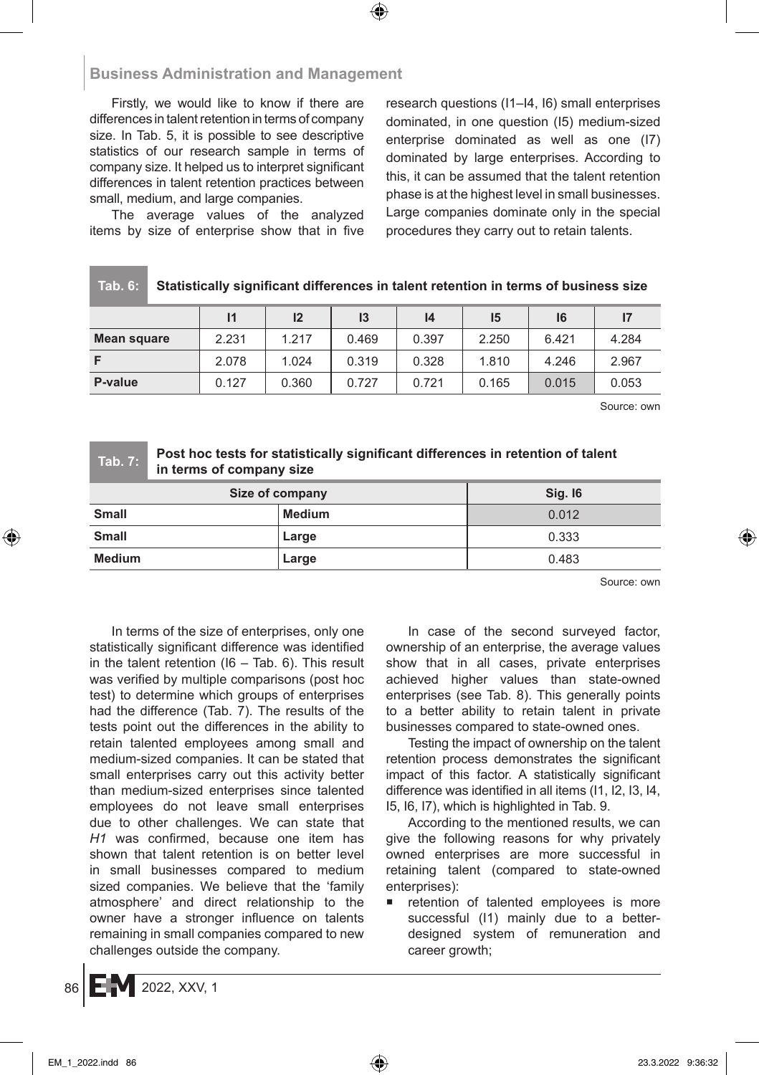Firstly, we would like to know if there are differences in talent retention in terms of company size. In Tab. 5, it is possible to see descriptive statistics of our research sample in terms of company size. It helped us to interpret significant differences in talent retention practices between small, medium, and large companies.

The average values of the analyzed items by size of enterprise show that in five research questions (I1–I4, I6) small enterprises dominated, in one question (I5) medium-sized enterprise dominated as well as one (I7) dominated by large enterprises. According to this, it can be assumed that the talent retention phase is at the highest level in small businesses. Large companies dominate only in the special procedures they carry out to retain talents.

| Tab. 6: | <b>Statisti</b> |
|---------|-----------------|
|         |                 |

**Tab. 6: Statistically significant differences in talent retention in terms of business size**

|             |       | 12    | 13    | 14    | 15    | 16    | 17    |
|-------------|-------|-------|-------|-------|-------|-------|-------|
| Mean square | 2.231 | 1.217 | 0.469 | 0.397 | 2.250 | 6.421 | 4.284 |
|             | 2.078 | 1.024 | 0.319 | 0.328 | 1.810 | 4.246 | 2.967 |
| P-value     | 0.127 | 0.360 | 0.727 | 0.721 | 0.165 | 0.015 | 0.053 |

Source: own

### **Tab. 7: Post hoc tests for statistically significant differences in retention of talent in terms of company size**

| Size of company | <b>Sig. 16</b> |       |
|-----------------|----------------|-------|
| <b>Small</b>    | <b>Medium</b>  | 0.012 |
| <b>Small</b>    | Large          | 0.333 |
| <b>Medium</b>   | Large          | 0.483 |

Source: own

In terms of the size of enterprises, only one statistically significant difference was identified in the talent retention ( $16 - Tab$ . 6). This result was verified by multiple comparisons (post hoc test) to determine which groups of enterprises had the difference (Tab. 7). The results of the tests point out the differences in the ability to retain talented employees among small and medium-sized companies. It can be stated that small enterprises carry out this activity better than medium-sized enterprises since talented employees do not leave small enterprises due to other challenges. We can state that *H1* was confirmed, because one item has shown that talent retention is on better level in small businesses compared to medium sized companies. We believe that the 'family atmosphere' and direct relationship to the owner have a stronger influence on talents remaining in small companies compared to new challenges outside the company.

In case of the second surveyed factor, ownership of an enterprise, the average values show that in all cases, private enterprises achieved higher values than state-owned enterprises (see Tab. 8). This generally points to a better ability to retain talent in private businesses compared to state-owned ones.

Testing the impact of ownership on the talent retention process demonstrates the significant impact of this factor. A statistically significant difference was identified in all items (I1, I2, I3, I4, I5, I6, I7), which is highlighted in Tab. 9.

According to the mentioned results, we can give the following reasons for why privately owned enterprises are more successful in retaining talent (compared to state-owned enterprises):

retention of talented employees is more successful (I1) mainly due to a betterdesigned system of remuneration and career growth;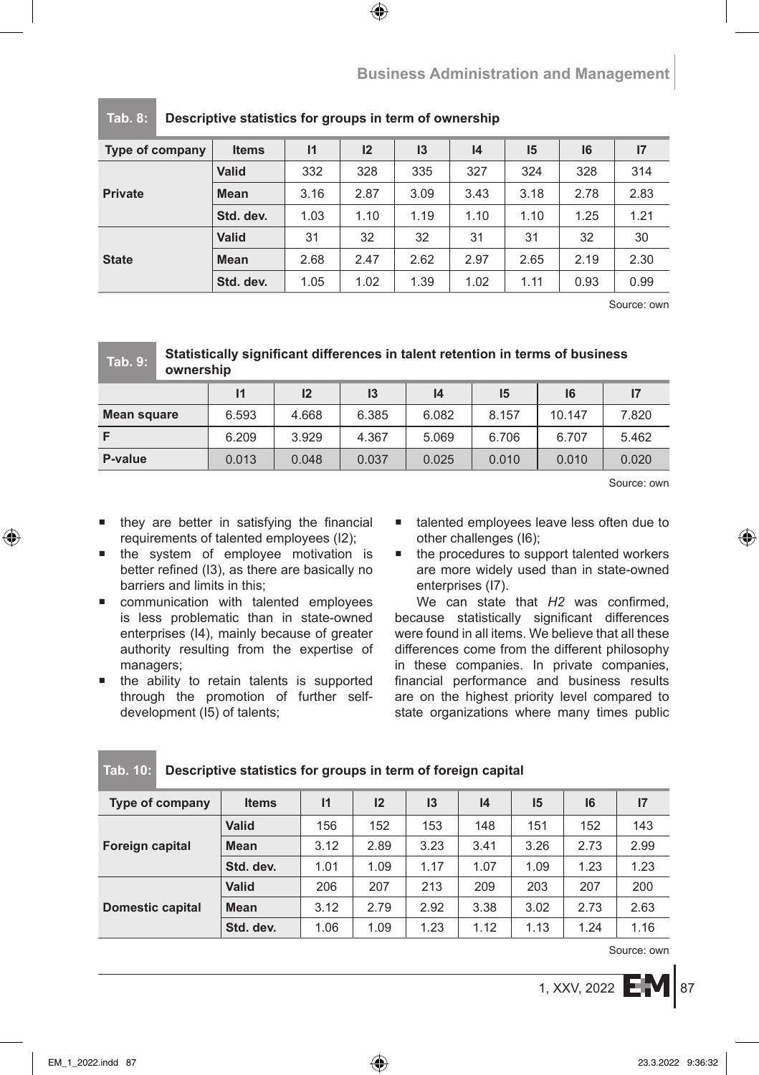| Type of company | <b>Items</b> | $\mathsf{I}$ | 12   | 13   | 4    | 15   | 16   | 17   |
|-----------------|--------------|--------------|------|------|------|------|------|------|
|                 | <b>Valid</b> | 332          | 328  | 335  | 327  | 324  | 328  | 314  |
| <b>Private</b>  | <b>Mean</b>  | 3.16         | 2.87 | 3.09 | 3.43 | 3.18 | 2.78 | 2.83 |
|                 | Std. dev.    | 1.03         | 1.10 | 1.19 | 1.10 | 1.10 | 1.25 | 1.21 |
| <b>State</b>    | <b>Valid</b> | 31           | 32   | 32   | 31   | 31   | 32   | 30   |
|                 | <b>Mean</b>  | 2.68         | 2.47 | 2.62 | 2.97 | 2.65 | 2.19 | 2.30 |
|                 | Std. dev.    | 1.05         | 1.02 | 1.39 | 1.02 | 1.11 | 0.93 | 0.99 |

### **Tab. 8: Descriptive statistics for groups in term of ownership**

Source: own

# **I1 I2 I3 I4 I5 I6 I7 Mean square** 6.593 4.668 6.385 6.082 8.157 10.147 7.820 **F** 6.209 3.929 4.367 5.069 6.706 6.707 5.462 **P-value** 0.013 0.048 0.037 0.025 0.010 0.020 0.020 **Tab. 9: Statistically significant differences in talent retention in terms of business ownership**

Source: own

- they are better in satisfying the financial requirements of talented employees (I2);
- **the system of employee motivation is** better refined (I3), as there are basically no barriers and limits in this;
- communication with talented employees is less problematic than in state-owned enterprises (I4), mainly because of greater authority resulting from the expertise of managers;
- **the ability to retain talents is supported** through the promotion of further selfdevelopment (I5) of talents;
- talented employees leave less often due to other challenges (I6);
- the procedures to support talented workers are more widely used than in state-owned enterprises (I7).

We can state that *H2* was confirmed, because statistically significant differences were found in all items. We believe that all these differences come from the different philosophy in these companies. In private companies, financial performance and business results are on the highest priority level compared to state organizations where many times public

| <b>Type of company</b>  | <b>Items</b> | $\mathsf{I}$ | 12   | 13   | 4    | 15   | 16   | 17   |
|-------------------------|--------------|--------------|------|------|------|------|------|------|
| Foreign capital         | <b>Valid</b> | 156          | 152  | 153  | 148  | 151  | 152  | 143  |
|                         | <b>Mean</b>  | 3.12         | 2.89 | 3.23 | 3.41 | 3.26 | 2.73 | 2.99 |
|                         | Std. dev.    | 1.01         | 1.09 | 1.17 | 1.07 | 1.09 | 1.23 | 1.23 |
| <b>Domestic capital</b> | <b>Valid</b> | 206          | 207  | 213  | 209  | 203  | 207  | 200  |
|                         | Mean         | 3.12         | 2.79 | 2.92 | 3.38 | 3.02 | 2.73 | 2.63 |
|                         | Std. dev.    | 1.06         | 1.09 | 1.23 | 1.12 | 1.13 | 1.24 | 1.16 |

### **Tab. 10: Descriptive statistics for groups in term of foreign capital**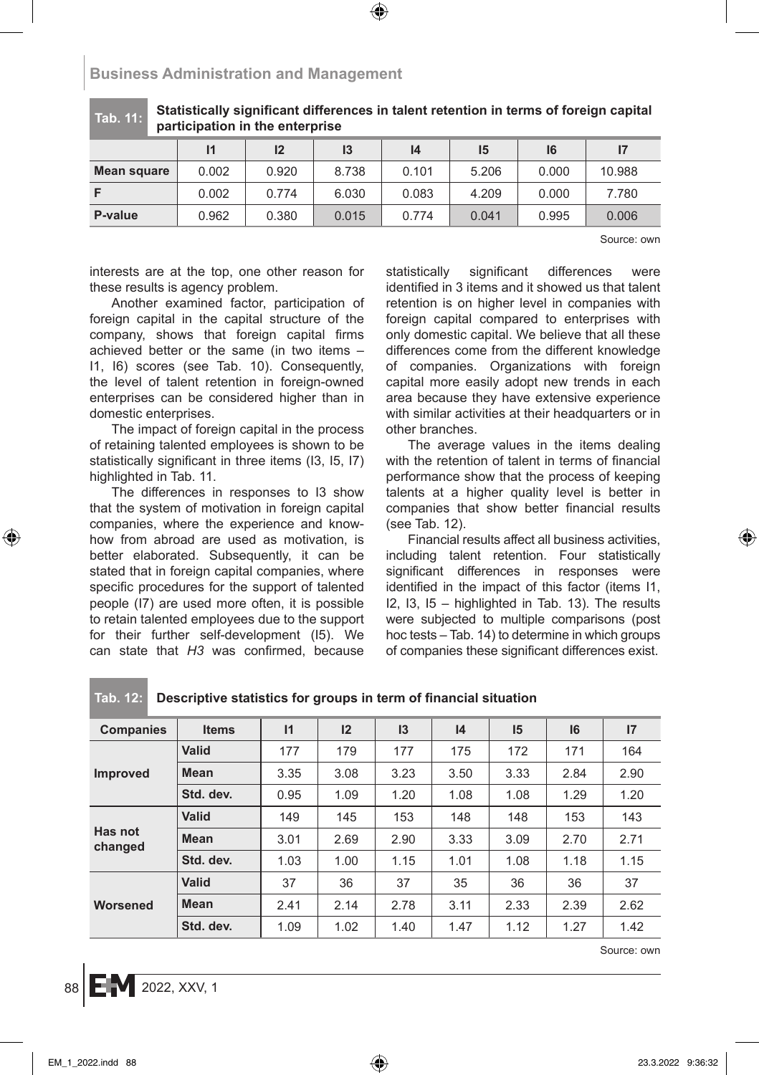### **Tab. 11: Statistically significant differences in talent retention in terms of foreign capital participation in the enterprise**

|             |       | 12    | I3    | 14    | 15    | 16    |        |
|-------------|-------|-------|-------|-------|-------|-------|--------|
| Mean square | 0.002 | 0.920 | 8.738 | 0.101 | 5.206 | 0.000 | 10.988 |
|             | 0.002 | 0.774 | 6.030 | 0.083 | 4.209 | 0.000 | 7.780  |
| P-value     | 0.962 | 0.380 | 0.015 | 0.774 | 0.041 | 0.995 | 0.006  |

Source: own

interests are at the top, one other reason for these results is agency problem.

Another examined factor, participation of foreign capital in the capital structure of the company, shows that foreign capital firms achieved better or the same (in two items – I1, I6) scores (see Tab. 10). Consequently, the level of talent retention in foreign-owned enterprises can be considered higher than in domestic enterprises.

The impact of foreign capital in the process of retaining talented employees is shown to be statistically significant in three items (I3, I5, I7) highlighted in Tab. 11.

The differences in responses to I3 show that the system of motivation in foreign capital companies, where the experience and knowhow from abroad are used as motivation, is better elaborated. Subsequently, it can be stated that in foreign capital companies, where specific procedures for the support of talented people (I7) are used more often, it is possible to retain talented employees due to the support for their further self-development (I5). We can state that *H3* was confirmed, because statistically significant differences were identified in 3 items and it showed us that talent retention is on higher level in companies with foreign capital compared to enterprises with only domestic capital. We believe that all these differences come from the different knowledge of companies. Organizations with foreign capital more easily adopt new trends in each area because they have extensive experience with similar activities at their headquarters or in other branches.

The average values in the items dealing with the retention of talent in terms of financial performance show that the process of keeping talents at a higher quality level is better in companies that show better financial results (see Tab. 12).

Financial results affect all business activities, including talent retention. Four statistically significant differences in responses were identified in the impact of this factor (items I1, I2, I3, I5 – highlighted in Tab. 13). The results were subjected to multiple comparisons (post hoc tests – Tab. 14) to determine in which groups of companies these significant differences exist.

| <b>Companies</b>   | <b>Items</b> | $\mathsf{I}$ | 12   | 13   | 14   | 15   | 16   | 17   |
|--------------------|--------------|--------------|------|------|------|------|------|------|
|                    | Valid        | 177          | 179  | 177  | 175  | 172  | 171  | 164  |
| <b>Improved</b>    | Mean         | 3.35         | 3.08 | 3.23 | 3.50 | 3.33 | 2.84 | 2.90 |
|                    | Std. dev.    | 0.95         | 1.09 | 1.20 | 1.08 | 1.08 | 1.29 | 1.20 |
|                    | Valid        | 149          | 145  | 153  | 148  | 148  | 153  | 143  |
| Has not<br>changed | <b>Mean</b>  | 3.01         | 2.69 | 2.90 | 3.33 | 3.09 | 2.70 | 2.71 |
|                    | Std. dev.    | 1.03         | 1.00 | 1.15 | 1.01 | 1.08 | 1.18 | 1.15 |
|                    | Valid        | 37           | 36   | 37   | 35   | 36   | 36   | 37   |
| Worsened           | <b>Mean</b>  | 2.41         | 2.14 | 2.78 | 3.11 | 2.33 | 2.39 | 2.62 |
|                    | Std. dev.    | 1.09         | 1.02 | 1.40 | 1.47 | 1.12 | 1.27 | 1.42 |

### **Tab. 12: Descriptive statistics for groups in term of financial situation**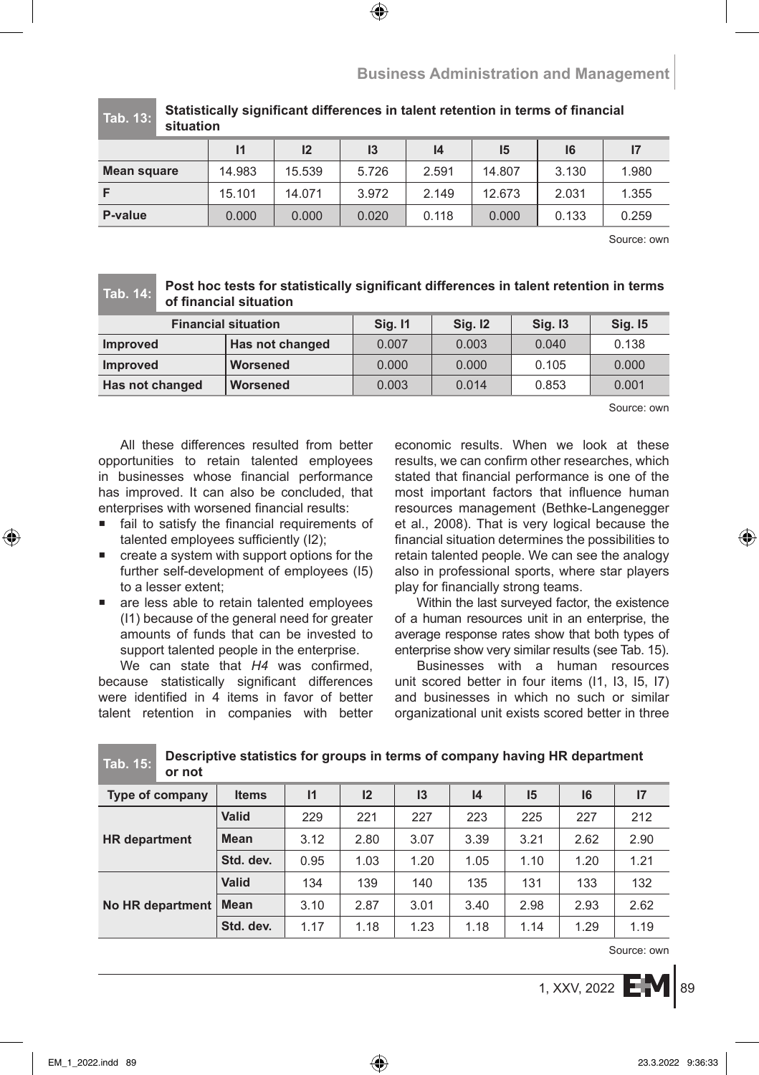**Tab. 13: Statistically significant differences in talent retention in terms of financial situation**

|             | 11     | 12     | I3    | 14    | 15     | 16    | 17    |
|-------------|--------|--------|-------|-------|--------|-------|-------|
| Mean square | 14.983 | 15.539 | 5.726 | 2.591 | 14.807 | 3.130 | 1.980 |
| F           | 15.101 | 14.071 | 3.972 | 2.149 | 12.673 | 2.031 | 1.355 |
| P-value     | 0.000  | 0.000  | 0.020 | 0.118 | 0.000  | 0.133 | 0.259 |

Source: own

### **Tab. 14: Post hoc tests for statistically significant differences in talent retention in terms of financial situation**

| <b>Financial situation</b> |                 | <b>Sig. 11</b> | <b>Sig. 12</b> | <b>Sig. 13</b> | <b>Sig. 15</b> |
|----------------------------|-----------------|----------------|----------------|----------------|----------------|
| <b>Improved</b>            | Has not changed | 0.007          | 0.003          | 0.040          | 0.138          |
| <b>Improved</b>            | Worsened        | 0.000          | 0.000          | 0.105          | 0.000          |
| Has not changed            | Worsened        | 0.003          | 0.014          | 0.853          | 0.001          |

Source: own

All these differences resulted from better opportunities to retain talented employees in businesses whose financial performance has improved. It can also be concluded, that enterprises with worsened financial results:

- fail to satisfy the financial requirements of talented employees sufficiently (I2);
- create a system with support options for the further self-development of employees (I5) to a lesser extent;
- **a** are less able to retain talented employees (I1) because of the general need for greater amounts of funds that can be invested to support talented people in the enterprise.

We can state that *H4* was confirmed, because statistically significant differences were identified in 4 items in favor of better talent retention in companies with better economic results. When we look at these results, we can confirm other researches, which stated that financial performance is one of the most important factors that influence human resources management (Bethke-Langenegger et al., 2008). That is very logical because the financial situation determines the possibilities to retain talented people. We can see the analogy also in professional sports, where star players play for financially strong teams.

Within the last surveyed factor, the existence of a human resources unit in an enterprise, the average response rates show that both types of enterprise show very similar results (see Tab. 15).

Businesses with a human resources unit scored better in four items (I1, I3, I5, I7) and businesses in which no such or similar organizational unit exists scored better in three

| .<br>or not          |              |              |      |      |      |      |      |      |
|----------------------|--------------|--------------|------|------|------|------|------|------|
| Type of company      | <b>Items</b> | $\mathsf{I}$ | 12   | I3   | 4    | 15   | 16   | 17   |
|                      | <b>Valid</b> | 229          | 221  | 227  | 223  | 225  | 227  | 212  |
| <b>HR</b> department | Mean         | 3.12         | 2.80 | 3.07 | 3.39 | 3.21 | 2.62 | 2.90 |
|                      | Std. dev.    | 0.95         | 1.03 | 1.20 | 1.05 | 1.10 | 1.20 | 1.21 |
| No HR department     | <b>Valid</b> | 134          | 139  | 140  | 135  | 131  | 133  | 132  |
|                      | Mean         | 3.10         | 2.87 | 3.01 | 3.40 | 2.98 | 2.93 | 2.62 |
|                      | Std. dev.    | 1.17         | 1.18 | 1.23 | 1.18 | 1.14 | 1.29 | 1.19 |

**Tab. 15: Descriptive statistics for groups in terms of company having HR department**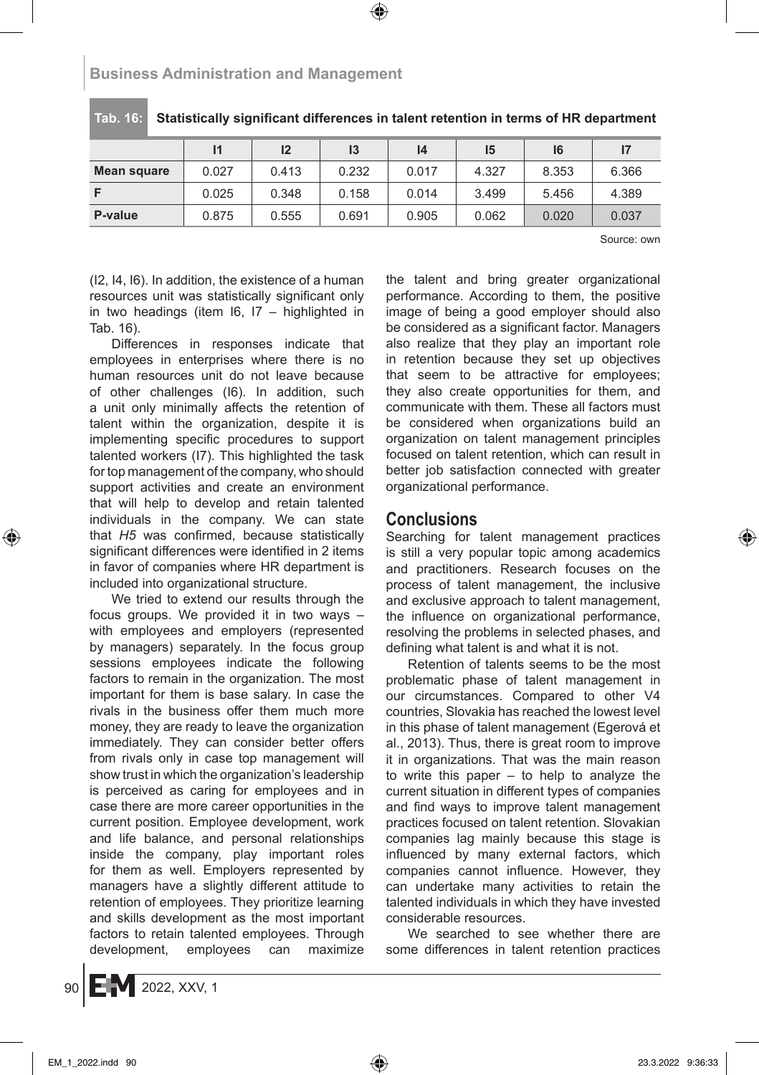|             |       | 12    | 13    | 14    | 15    | 16    |       |  |
|-------------|-------|-------|-------|-------|-------|-------|-------|--|
| Mean square | 0.027 | 0.413 | 0.232 | 0.017 | 4.327 | 8.353 | 6.366 |  |
|             | 0.025 | 0.348 | 0.158 | 0.014 | 3.499 | 5.456 | 4.389 |  |
| P-value     | 0.875 | 0.555 | 0.691 | 0.905 | 0.062 | 0.020 | 0.037 |  |

### **Tab. 16: Statistically significant differences in talent retention in terms of HR department**

Source: own

(I2, I4, I6). In addition, the existence of a human resources unit was statistically significant only in two headings (item  $16$ ,  $17 -$  highlighted in Tab. 16).

Differences in responses indicate that employees in enterprises where there is no human resources unit do not leave because of other challenges (I6). In addition, such a unit only minimally affects the retention of talent within the organization, despite it is implementing specific procedures to support talented workers (I7). This highlighted the task for top management of the company, who should support activities and create an environment that will help to develop and retain talented individuals in the company. We can state that *H5* was confirmed, because statistically significant differences were identified in 2 items in favor of companies where HR department is included into organizational structure.

We tried to extend our results through the focus groups. We provided it in two ways – with employees and employers (represented by managers) separately. In the focus group sessions employees indicate the following factors to remain in the organization. The most important for them is base salary. In case the rivals in the business offer them much more money, they are ready to leave the organization immediately. They can consider better offers from rivals only in case top management will show trust in which the organization's leadership is perceived as caring for employees and in case there are more career opportunities in the current position. Employee development, work and life balance, and personal relationships inside the company, play important roles for them as well. Employers represented by managers have a slightly different attitude to retention of employees. They prioritize learning and skills development as the most important factors to retain talented employees. Through development, employees can maximize the talent and bring greater organizational performance. According to them, the positive image of being a good employer should also be considered as a significant factor. Managers also realize that they play an important role in retention because they set up objectives that seem to be attractive for employees; they also create opportunities for them, and communicate with them. These all factors must be considered when organizations build an organization on talent management principles focused on talent retention, which can result in better job satisfaction connected with greater organizational performance.

# **Conclusions**

Searching for talent management practices is still a very popular topic among academics and practitioners. Research focuses on the process of talent management, the inclusive and exclusive approach to talent management, the influence on organizational performance, resolving the problems in selected phases, and defining what talent is and what it is not.

Retention of talents seems to be the most problematic phase of talent management in our circumstances. Compared to other V4 countries, Slovakia has reached the lowest level in this phase of talent management (Egerová et al., 2013). Thus, there is great room to improve it in organizations. That was the main reason to write this paper – to help to analyze the current situation in different types of companies and find ways to improve talent management practices focused on talent retention. Slovakian companies lag mainly because this stage is influenced by many external factors, which companies cannot influence. However, they can undertake many activities to retain the talented individuals in which they have invested considerable resources.

We searched to see whether there are some differences in talent retention practices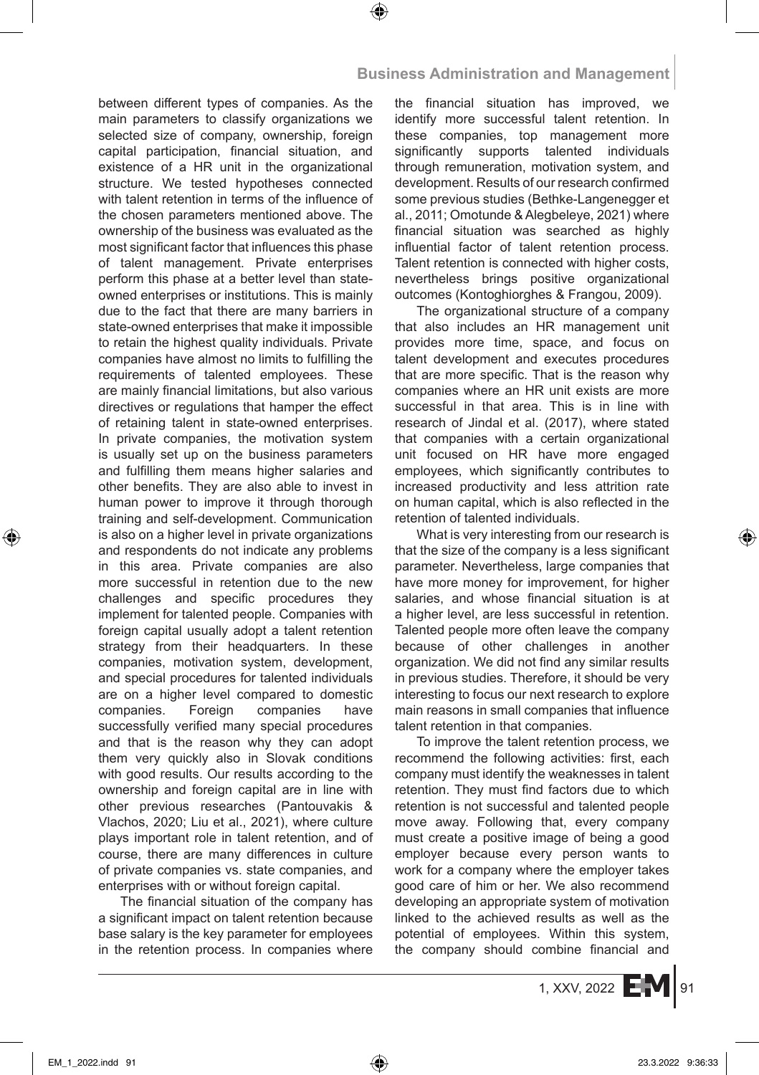between different types of companies. As the main parameters to classify organizations we selected size of company, ownership, foreign capital participation, financial situation, and existence of a HR unit in the organizational structure. We tested hypotheses connected with talent retention in terms of the influence of the chosen parameters mentioned above. The ownership of the business was evaluated as the most significant factor that influences this phase of talent management. Private enterprises perform this phase at a better level than stateowned enterprises or institutions. This is mainly due to the fact that there are many barriers in state-owned enterprises that make it impossible to retain the highest quality individuals. Private companies have almost no limits to fulfilling the requirements of talented employees. These are mainly financial limitations, but also various directives or regulations that hamper the effect of retaining talent in state-owned enterprises. In private companies, the motivation system is usually set up on the business parameters and fulfilling them means higher salaries and other benefits. They are also able to invest in human power to improve it through thorough training and self-development. Communication is also on a higher level in private organizations and respondents do not indicate any problems in this area. Private companies are also more successful in retention due to the new challenges and specific procedures they implement for talented people. Companies with foreign capital usually adopt a talent retention strategy from their headquarters. In these companies, motivation system, development, and special procedures for talented individuals are on a higher level compared to domestic companies. Foreign companies have successfully verified many special procedures and that is the reason why they can adopt them very quickly also in Slovak conditions with good results. Our results according to the ownership and foreign capital are in line with other previous researches (Pantouvakis & Vlachos, 2020; Liu et al., 2021), where culture plays important role in talent retention, and of course, there are many differences in culture of private companies vs. state companies, and enterprises with or without foreign capital.

The financial situation of the company has a significant impact on talent retention because base salary is the key parameter for employees in the retention process. In companies where the financial situation has improved, we identify more successful talent retention. In these companies, top management more significantly supports talented individuals through remuneration, motivation system, and development. Results of our research confirmed some previous studies (Bethke-Langenegger et al., 2011; Omotunde & Alegbeleye, 2021) where financial situation was searched as highly influential factor of talent retention process. Talent retention is connected with higher costs, nevertheless brings positive organizational outcomes (Kontoghiorghes & Frangou, 2009).

The organizational structure of a company that also includes an HR management unit provides more time, space, and focus on talent development and executes procedures that are more specific. That is the reason why companies where an HR unit exists are more successful in that area. This is in line with research of Jindal et al. (2017), where stated that companies with a certain organizational unit focused on HR have more engaged employees, which significantly contributes to increased productivity and less attrition rate on human capital, which is also reflected in the retention of talented individuals.

What is very interesting from our research is that the size of the company is a less significant parameter. Nevertheless, large companies that have more money for improvement, for higher salaries, and whose financial situation is at a higher level, are less successful in retention. Talented people more often leave the company because of other challenges in another organization. We did not find any similar results in previous studies. Therefore, it should be very interesting to focus our next research to explore main reasons in small companies that influence talent retention in that companies.

To improve the talent retention process, we recommend the following activities: first, each company must identify the weaknesses in talent retention. They must find factors due to which retention is not successful and talented people move away. Following that, every company must create a positive image of being a good employer because every person wants to work for a company where the employer takes good care of him or her. We also recommend developing an appropriate system of motivation linked to the achieved results as well as the potential of employees. Within this system, the company should combine financial and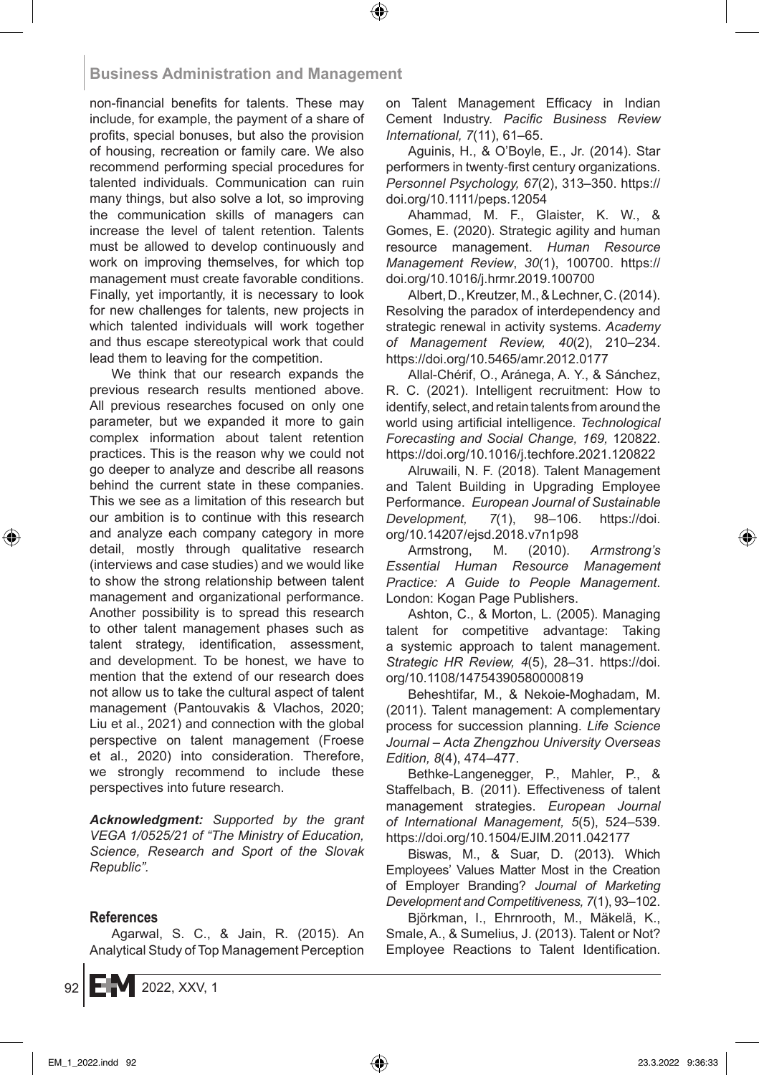non-financial benefits for talents. These may include, for example, the payment of a share of profits, special bonuses, but also the provision of housing, recreation or family care. We also recommend performing special procedures for talented individuals. Communication can ruin many things, but also solve a lot, so improving the communication skills of managers can increase the level of talent retention. Talents must be allowed to develop continuously and work on improving themselves, for which top management must create favorable conditions. Finally, yet importantly, it is necessary to look for new challenges for talents, new projects in which talented individuals will work together and thus escape stereotypical work that could lead them to leaving for the competition.

We think that our research expands the previous research results mentioned above. All previous researches focused on only one parameter, but we expanded it more to gain complex information about talent retention practices. This is the reason why we could not go deeper to analyze and describe all reasons behind the current state in these companies. This we see as a limitation of this research but our ambition is to continue with this research and analyze each company category in more detail, mostly through qualitative research (interviews and case studies) and we would like to show the strong relationship between talent management and organizational performance. Another possibility is to spread this research to other talent management phases such as talent strategy, identification, assessment, and development. To be honest, we have to mention that the extend of our research does not allow us to take the cultural aspect of talent management (Pantouvakis & Vlachos, 2020; Liu et al., 2021) and connection with the global perspective on talent management (Froese et al., 2020) into consideration. Therefore, we strongly recommend to include these perspectives into future research.

*Acknowledgment: Supported by the grant VEGA 1/0525/21 of "The Ministry of Education, Science, Research and Sport of the Slovak Republic".*

### **References**

Agarwal, S. C., & Jain, R. (2015). An Analytical Study of Top Management Perception on Talent Management Efficacy in Indian Cement Industry. *Pacific Business Review International, 7*(11), 61–65.

Aguinis, H., & O'Boyle, E., Jr. (2014). Star performers in twenty‐first century organizations. *Personnel Psychology, 67*(2), 313–350. https:// doi.org/10.1111/peps.12054

Ahammad, M. F., Glaister, K. W., & Gomes, E. (2020). Strategic agility and human resource management. *Human Resource Management Review*, *30*(1), 100700. https:// doi.org/10.1016/j.hrmr.2019.100700

Albert, D., Kreutzer, M., & Lechner, C. (2014). Resolving the paradox of interdependency and strategic renewal in activity systems. *Academy of Management Review, 40*(2), 210–234. https://doi.org/10.5465/amr.2012.0177

Allal-Chérif, O., Aránega, A. Y., & Sánchez, R. C. (2021). Intelligent recruitment: How to identify, select, and retain talents from around the world using artificial intelligence*. Technological Forecasting and Social Change, 169,* 120822. https://doi.org/10.1016/j.techfore.2021.120822

Alruwaili, N. F. (2018). Talent Management and Talent Building in Upgrading Employee Performance. *European Journal of Sustainable Development, 7*(1), 98–106. https://doi. org/10.14207/ejsd.2018.v7n1p98

Armstrong, M. (2010). *Armstrong's Essential Human Resource Management Practice: A Guide to People Management*. London: Kogan Page Publishers.

Ashton, C., & Morton, L. (2005). Managing talent for competitive advantage: Taking a systemic approach to talent management. *Strategic HR Review, 4*(5), 28–31. https://doi. org/10.1108/14754390580000819

Beheshtifar, M., & Nekoie-Moghadam, M. (2011). Talent management: A complementary process for succession planning. *Life Science Journal – Acta Zhengzhou University Overseas Edition, 8*(4), 474–477.

Bethke-Langenegger, P., Mahler, P., & Staffelbach, B. (2011). Effectiveness of talent management strategies. *European Journal of International Management, 5*(5), 524–539. https://doi.org/10.1504/EJIM.2011.042177

Biswas, M., & Suar, D. (2013). Which Employees' Values Matter Most in the Creation of Employer Branding? *Journal of Marketing Development and Competitiveness, 7*(1), 93–102.

Björkman, I., Ehrnrooth, M., Mäkelä, K., Smale, A., & Sumelius, J. (2013). Talent or Not? Employee Reactions to Talent Identification.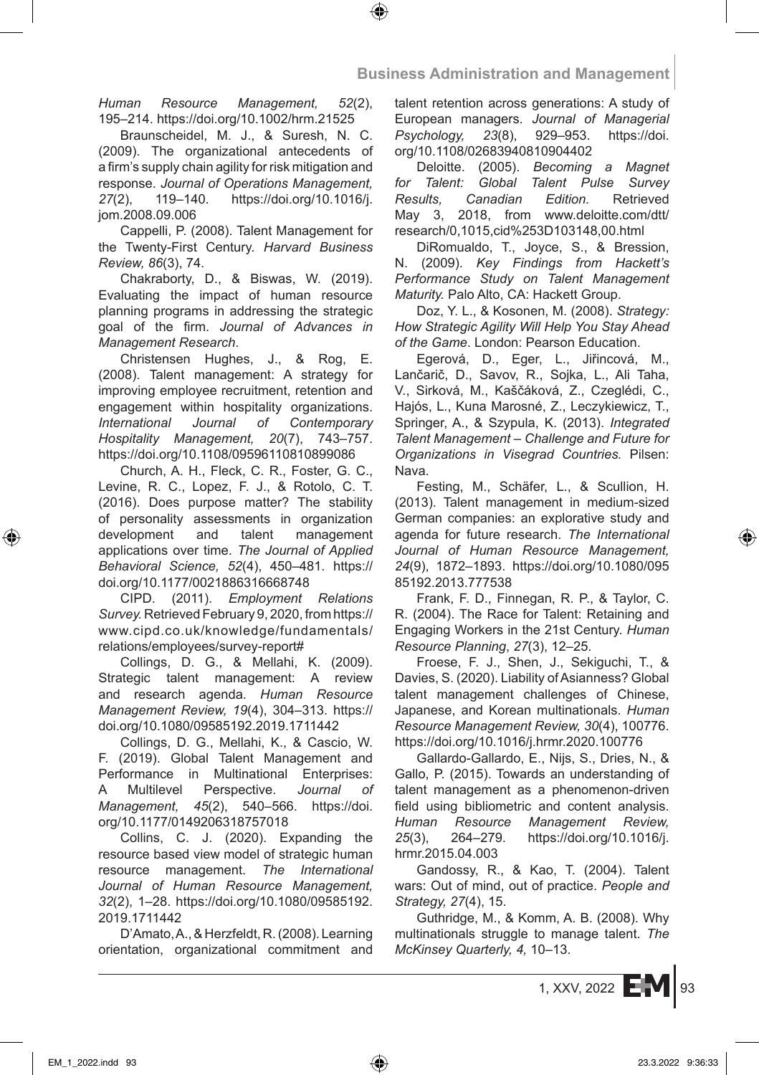*Human Resource Management, 52*(2), 195–214. https://doi.org/10.1002/hrm.21525

Braunscheidel, M. J., & Suresh, N. C. (2009). The organizational antecedents of a firm's supply chain agility for risk mitigation and response. *Journal of Operations Management, 27*(2), 119–140. https://doi.org/10.1016/j. jom.2008.09.006

Cappelli, P. (2008). Talent Management for the Twenty-First Century. *Harvard Business Review, 86*(3), 74.

Chakraborty, D., & Biswas, W. (2019). Evaluating the impact of human resource planning programs in addressing the strategic goal of the firm. *Journal of Advances in Management Research*.

Christensen Hughes, J., & Rog, E. (2008). Talent management: A strategy for improving employee recruitment, retention and engagement within hospitality organizations. *International Journal of Contemporary Hospitality Management, 20*(7), 743–757. https://doi.org/10.1108/09596110810899086

Church, A. H., Fleck, C. R., Foster, G. C., Levine, R. C., Lopez, F. J., & Rotolo, C. T. (2016). Does purpose matter? The stability of personality assessments in organization development and talent management applications over time. *The Journal of Applied Behavioral Science, 52*(4), 450–481. https:// doi.org/10.1177/0021886316668748

CIPD. (2011). *Employment Relations Survey.* Retrieved February 9, 2020, from https:// www.cipd.co.uk/knowledge/fundamentals/ relations/employees/survey-report#

Collings, D. G., & Mellahi, K. (2009). Strategic talent management: A review and research agenda. *Human Resource Management Review, 19*(4), 304–313. https:// doi.org/10.1080/09585192.2019.1711442

Collings, D. G., Mellahi, K., & Cascio, W. F. (2019). Global Talent Management and Performance in Multinational Enterprises: A Multilevel Perspective. *Journal of Management, 45*(2), 540–566. https://doi. org/10.1177/0149206318757018

Collins, C. J. (2020). Expanding the resource based view model of strategic human resource management. *The International Journal of Human Resource Management, 32*(2), 1–28. https://doi.org/10.1080/09585192. 2019.1711442

D'Amato, A., & Herzfeldt, R. (2008). Learning orientation, organizational commitment and talent retention across generations: A study of European managers. *Journal of Managerial Psychology, 23*(8), 929–953. https://doi. org/10.1108/02683940810904402

Deloitte. (2005). *Becoming a Magnet for Talent: Global Talent Pulse Survey Results, Canadian Edition.* Retrieved May 3, 2018, from www.deloitte.com/dtt/ research/0,1015,cid%253D103148,00.html

DiRomualdo, T., Joyce, S., & Bression, N. (2009). *Key Findings from Hackett's Performance Study on Talent Management Maturity.* Palo Alto, CA: Hackett Group.

Doz, Y. L., & Kosonen, M. (2008). *Strategy: How Strategic Agility Will Help You Stay Ahead of the Game*. London: Pearson Education.

Egerová, D., Eger, L., Jiřincová, M., Lančarič, D., Savov, R., Sojka, L., Ali Taha, V., Sirková, M., Kaščáková, Z., Czeglédi, C., Hajós, L., Kuna Marosné, Z., Leczykiewicz, T., Springer, A., & Szypula, K. (2013). *Integrated Talent Management – Challenge and Future for Organizations in Visegrad Countries.* Pilsen: Nava.

Festing, M., Schäfer, L., & Scullion, H. (2013). Talent management in medium-sized German companies: an explorative study and agenda for future research. *The International Journal of Human Resource Management, 24*(9), 1872–1893. https://doi.org/10.1080/095 85192.2013.777538

Frank, F. D., Finnegan, R. P., & Taylor, C. R. (2004). The Race for Talent: Retaining and Engaging Workers in the 21st Century. *Human Resource Planning*, *27*(3), 12–25.

Froese, F. J., Shen, J., Sekiguchi, T., & Davies, S. (2020). Liability of Asianness? Global talent management challenges of Chinese, Japanese, and Korean multinationals. *Human Resource Management Review, 30*(4), 100776. https://doi.org/10.1016/j.hrmr.2020.100776

Gallardo-Gallardo, E., Nijs, S., Dries, N., & Gallo, P. (2015). Towards an understanding of talent management as a phenomenon-driven field using bibliometric and content analysis. *Human Resource Management Review, 25*(3), 264–279. https://doi.org/10.1016/j. hrmr.2015.04.003

Gandossy, R., & Kao, T. (2004). Talent wars: Out of mind, out of practice. *People and Strategy, 27*(4), 15.

Guthridge, M., & Komm, A. B. (2008). Why multinationals struggle to manage talent. *The McKinsey Quarterly, 4,* 10–13.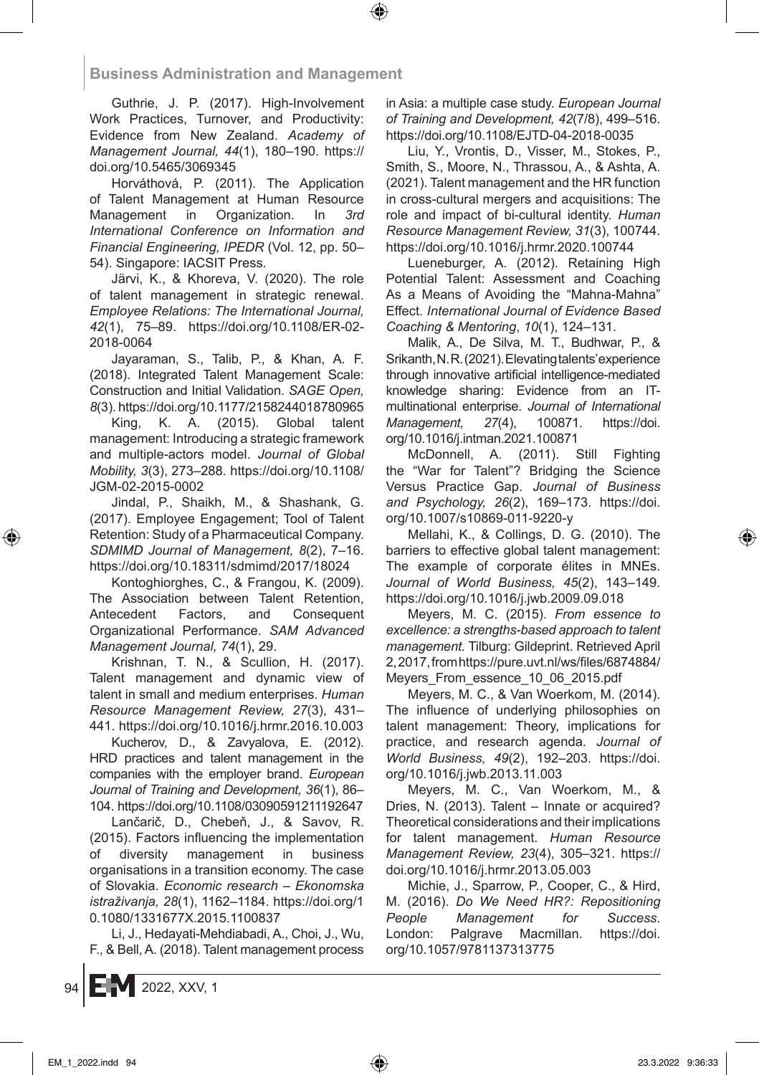Guthrie, J. P. (2017). High-Involvement Work Practices, Turnover, and Productivity: Evidence from New Zealand. *Academy of Management Journal, 44*(1), 180–190. https:// doi.org/10.5465/3069345

Horváthová, P. (2011). The Application of Talent Management at Human Resource Management in Organization. In *3rd International Conference on Information and Financial Engineering, IPEDR* (Vol. 12, pp. 50– 54). Singapore: IACSIT Press.

Järvi, K., & Khoreva, V. (2020). The role of talent management in strategic renewal. *Employee Relations: The International Journal, 42*(1), 75–89. https://doi.org/10.1108/ER-02- 2018-0064

Jayaraman, S., Talib, P., & Khan, A. F. (2018). Integrated Talent Management Scale: Construction and Initial Validation. *SAGE Open, 8*(3). https://doi.org/10.1177/2158244018780965

King, K. A. (2015). Global talent management: Introducing a strategic framework and multiple-actors model. *Journal of Global Mobility, 3*(3), 273–288. https://doi.org/10.1108/ JGM-02-2015-0002

Jindal, P., Shaikh, M., & Shashank, G. (2017). Employee Engagement; Tool of Talent Retention: Study of a Pharmaceutical Company. *SDMIMD Journal of Management, 8*(2), 7–16. https://doi.org/10.18311/sdmimd/2017/18024

Kontoghiorghes, C., & Frangou, K. (2009). The Association between Talent Retention, Antecedent Factors, and Consequent Organizational Performance. *SAM Advanced Management Journal, 74*(1), 29.

Krishnan, T. N., & Scullion, H. (2017). Talent management and dynamic view of talent in small and medium enterprises. *Human Resource Management Review, 27*(3), 431– 441. https://doi.org/10.1016/j.hrmr.2016.10.003

Kucherov, D., & Zavyalova, E. (2012). HRD practices and talent management in the companies with the employer brand. *European Journal of Training and Development, 36*(1), 86– 104. https://doi.org/10.1108/03090591211192647

Lančarič, D., Chebeň, J., & Savov, R. (2015). Factors influencing the implementation of diversity management in business organisations in a transition economy. The case of Slovakia. *Economic research – Ekonomska istraživanja, 28*(1), 1162–1184. https://doi.org/1 0.1080/1331677X.2015.1100837

Li, J., Hedayati-Mehdiabadi, A., Choi, J., Wu, F., & Bell, A. (2018). Talent management process in Asia: a multiple case study. *European Journal of Training and Development, 42*(7/8), 499–516. https://doi.org/10.1108/EJTD-04-2018-0035

Liu, Y., Vrontis, D., Visser, M., Stokes, P., Smith, S., Moore, N., Thrassou, A., & Ashta, A. (2021). Talent management and the HR function in cross-cultural mergers and acquisitions: The role and impact of bi-cultural identity. *Human Resource Management Review, 31*(3), 100744. https://doi.org/10.1016/j.hrmr.2020.100744

Lueneburger, A. (2012). Retaining High Potential Talent: Assessment and Coaching As a Means of Avoiding the "Mahna-Mahna" Effect. *International Journal of Evidence Based Coaching & Mentoring*, *10*(1), 124–131.

Malik, A., De Silva, M. T., Budhwar, P., & Srikanth, N. R. (2021). Elevating talents' experience through innovative artificial intelligence-mediated knowledge sharing: Evidence from an ITmultinational enterprise. *Journal of International Management, 27*(4), 100871. https://doi. org/10.1016/j.intman.2021.100871

McDonnell, A. (2011). Still Fighting the "War for Talent"? Bridging the Science Versus Practice Gap. *Journal of Business and Psychology, 26*(2), 169–173. https://doi. org/10.1007/s10869-011-9220-y

Mellahi, K., & Collings, D. G. (2010). The barriers to effective global talent management: The example of corporate élites in MNEs. *Journal of World Business, 45*(2), 143–149. https://doi.org/10.1016/j.jwb.2009.09.018

Meyers, M. C. (2015). *From essence to excellence: a strengths-based approach to talent management.* Tilburg: Gildeprint. Retrieved April 2, 2017, from https://pure.uvt.nl/ws/files/6874884/ Meyers\_From\_essence\_10\_06\_2015.pdf

Meyers, M. C., & Van Woerkom, M. (2014). The influence of underlying philosophies on talent management: Theory, implications for practice, and research agenda. *Journal of World Business, 49*(2), 192–203. https://doi. org/10.1016/j.jwb.2013.11.003

Meyers, M. C., Van Woerkom, M., & Dries, N. (2013). Talent – Innate or acquired? Theoretical considerations and their implications for talent management. *Human Resource Management Review, 23*(4), 305–321. https:// doi.org/10.1016/j.hrmr.2013.05.003

Michie, J., Sparrow, P., Cooper, C., & Hird, M. (2016). *Do We Need HR?: Repositioning People Management for Success*. London: Palgrave Macmillan. https://doi. org/10.1057/9781137313775